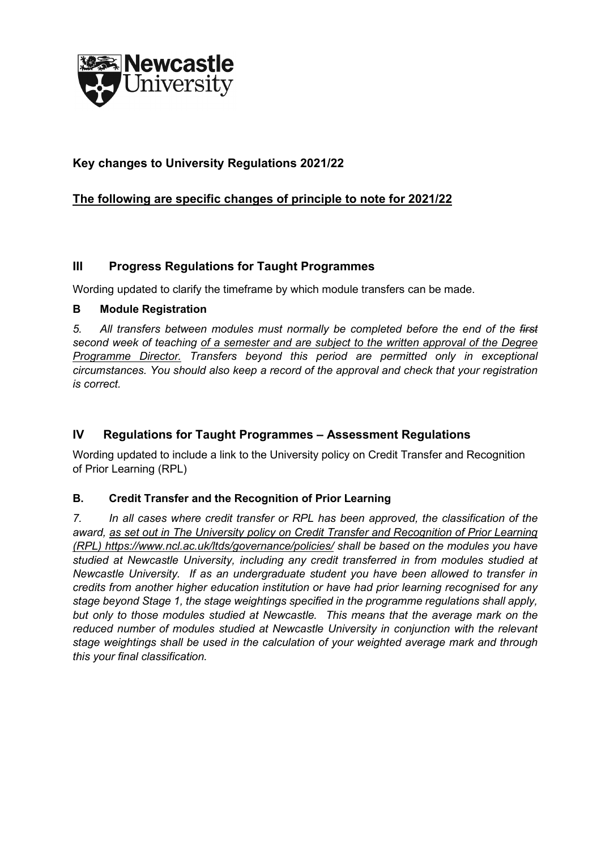

# **Key changes to University Regulations 2021/22**

# **The following are specific changes of principle to note for 2021/22**

### **III Progress Regulations for Taught Programmes**

Wording updated to clarify the timeframe by which module transfers can be made.

#### **B Module Registration**

*5. All transfers between modules must normally be completed before the end of the first second week of teaching of a semester and are subject to the written approval of the Degree Programme Director. Transfers beyond this period are permitted only in exceptional circumstances. You should also keep a record of the approval and check that your registration is correct.*

# **IV Regulations for Taught Programmes – Assessment Regulations**

Wording updated to include a link to the University policy on Credit Transfer and Recognition of Prior Learning (RPL)

### **B. Credit Transfer and the Recognition of Prior Learning**

*7. In all cases where credit transfer or RPL has been approved, the classification of the award, as set out in The University policy on Credit Transfer and Recognition of Prior Learning (RPL)<https://www.ncl.ac.uk/ltds/governance/policies/> shall be based on the modules you have studied at Newcastle University, including any credit transferred in from modules studied at Newcastle University. If as an undergraduate student you have been allowed to transfer in credits from another higher education institution or have had prior learning recognised for any stage beyond Stage 1, the stage weightings specified in the programme regulations shall apply, but only to those modules studied at Newcastle. This means that the average mark on the reduced number of modules studied at Newcastle University in conjunction with the relevant stage weightings shall be used in the calculation of your weighted average mark and through this your final classification.*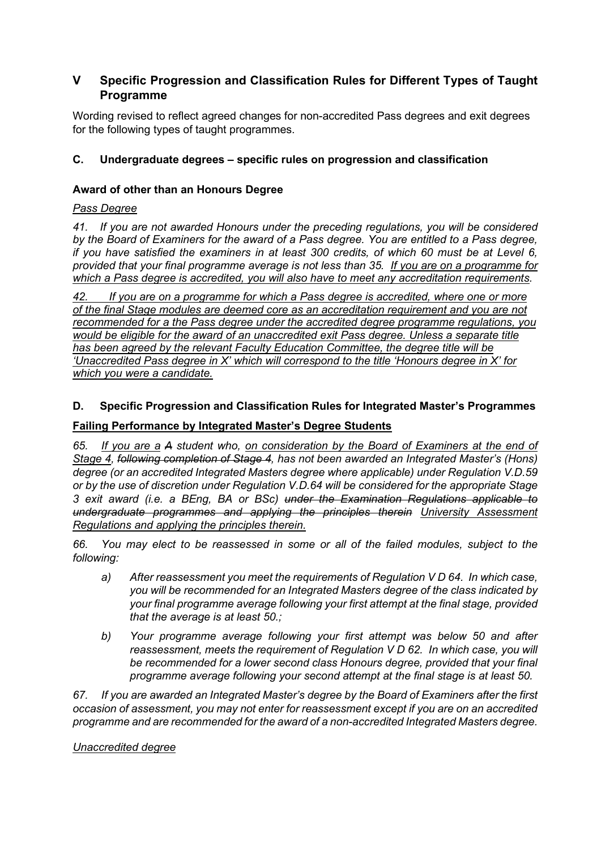## **V Specific Progression and Classification Rules for Different Types of Taught Programme**

Wording revised to reflect agreed changes for non-accredited Pass degrees and exit degrees for the following types of taught programmes.

#### **C. Undergraduate degrees – specific rules on progression and classification**

#### **Award of other than an Honours Degree**

#### *Pass Degree*

*41. If you are not awarded Honours under the preceding regulations, you will be considered by the Board of Examiners for the award of a Pass degree. You are entitled to a Pass degree, if you have satisfied the examiners in at least 300 credits, of which 60 must be at Level 6, provided that your final programme average is not less than 35. If you are on a programme for which a Pass degree is accredited, you will also have to meet any accreditation requirements.*

*42. If you are on a programme for which a Pass degree is accredited, where one or more of the final Stage modules are deemed core as an accreditation requirement and you are not recommended for a the Pass degree under the accredited degree programme regulations, you would be eligible for the award of an unaccredited exit Pass degree. Unless a separate title has been agreed by the relevant Faculty Education Committee, the degree title will be 'Unaccredited Pass degree in X' which will correspond to the title 'Honours degree in X' for which you were a candidate.*

#### **D. Specific Progression and Classification Rules for Integrated Master's Programmes**

#### **Failing Performance by Integrated Master's Degree Students**

*65. If you are a A student who, on consideration by the Board of Examiners at the end of Stage 4, following completion of Stage 4, has not been awarded an Integrated Master's (Hons) degree (or an accredited Integrated Masters degree where applicable) under Regulation V.D.59 or by the use of discretion under Regulation V.D.64 will be considered for the appropriate Stage 3 exit award (i.e. a BEng, BA or BSc) under the Examination Regulations applicable to undergraduate programmes and applying the principles therein University Assessment Regulations and applying the principles therein.* 

*66. You may elect to be reassessed in some or all of the failed modules, subject to the following:* 

- *a) After reassessment you meet the requirements of Regulation V D 64. In which case, you will be recommended for an Integrated Masters degree of the class indicated by your final programme average following your first attempt at the final stage, provided that the average is at least 50.;*
- *b) Your programme average following your first attempt was below 50 and after reassessment, meets the requirement of Regulation V D 62. In which case, you will be recommended for a lower second class Honours degree, provided that your final programme average following your second attempt at the final stage is at least 50.*

*67. If you are awarded an Integrated Master's degree by the Board of Examiners after the first occasion of assessment, you may not enter for reassessment except if you are on an accredited programme and are recommended for the award of a non-accredited Integrated Masters degree.* 

#### *Unaccredited degree*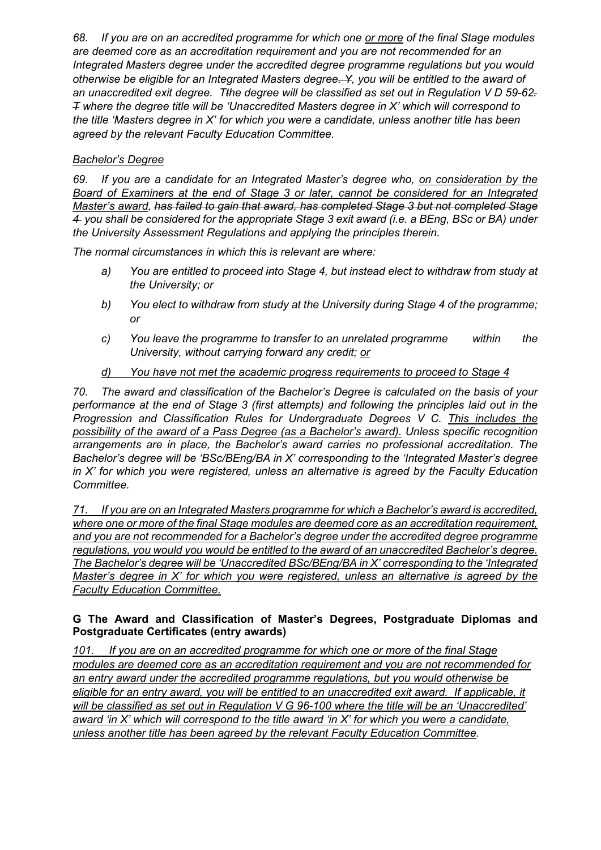*68. If you are on an accredited programme for which one or more of the final Stage modules are deemed core as an accreditation requirement and you are not recommended for an Integrated Masters degree under the accredited degree programme regulations but you would otherwise be eligible for an Integrated Masters degree. Y, you will be entitled to the award of an unaccredited exit degree. Tthe degree will be classified as set out in Regulation V D 59-62. T where the degree title will be 'Unaccredited Masters degree in X' which will correspond to the title 'Masters degree in X' for which you were a candidate, unless another title has been agreed by the relevant Faculty Education Committee.*

### *Bachelor's Degree*

*69. If you are a candidate for an Integrated Master's degree who, on consideration by the Board of Examiners at the end of Stage 3 or later, cannot be considered for an Integrated Master's award, has failed to gain that award, has completed Stage 3 but not completed Stage 4 you shall be considered for the appropriate Stage 3 exit award (i.e. a BEng, BSc or BA) under the University Assessment Regulations and applying the principles therein.* 

*The normal circumstances in which this is relevant are where:* 

- *a) You are entitled to proceed into Stage 4, but instead elect to withdraw from study at the University; or*
- *b) You elect to withdraw from study at the University during Stage 4 of the programme; or*
- *c) You leave the programme to transfer to an unrelated programme within the University, without carrying forward any credit; or*

### *d) You have not met the academic progress requirements to proceed to Stage 4*

*70. The award and classification of the Bachelor's Degree is calculated on the basis of your performance at the end of Stage 3 (first attempts) and following the principles laid out in the Progression and Classification Rules for Undergraduate Degrees V C. This includes the possibility of the award of a Pass Degree (as a Bachelor's award). Unless specific recognition arrangements are in place, the Bachelor's award carries no professional accreditation. The Bachelor's degree will be 'BSc/BEng/BA in X' corresponding to the 'Integrated Master's degree in X' for which you were registered, unless an alternative is agreed by the Faculty Education Committee.*

*71. If you are on an Integrated Masters programme for which a Bachelor's award is accredited, where one or more of the final Stage modules are deemed core as an accreditation requirement, and you are not recommended for a Bachelor's degree under the accredited degree programme regulations, you would you would be entitled to the award of an unaccredited Bachelor's degree. The Bachelor's degree will be 'Unaccredited BSc/BEng/BA in X' corresponding to the 'Integrated Master's degree in X' for which you were registered, unless an alternative is agreed by the Faculty Education Committee.*

#### **G The Award and Classification of Master's Degrees, Postgraduate Diplomas and Postgraduate Certificates (entry awards)**

*101. If you are on an accredited programme for which one or more of the final Stage modules are deemed core as an accreditation requirement and you are not recommended for an entry award under the accredited programme regulations, but you would otherwise be eligible for an entry award, you will be entitled to an unaccredited exit award. If applicable, it will be classified as set out in Regulation V G 96-100 where the title will be an 'Unaccredited' award 'in X' which will correspond to the title award 'in X' for which you were a candidate, unless another title has been agreed by the relevant Faculty Education Committee.*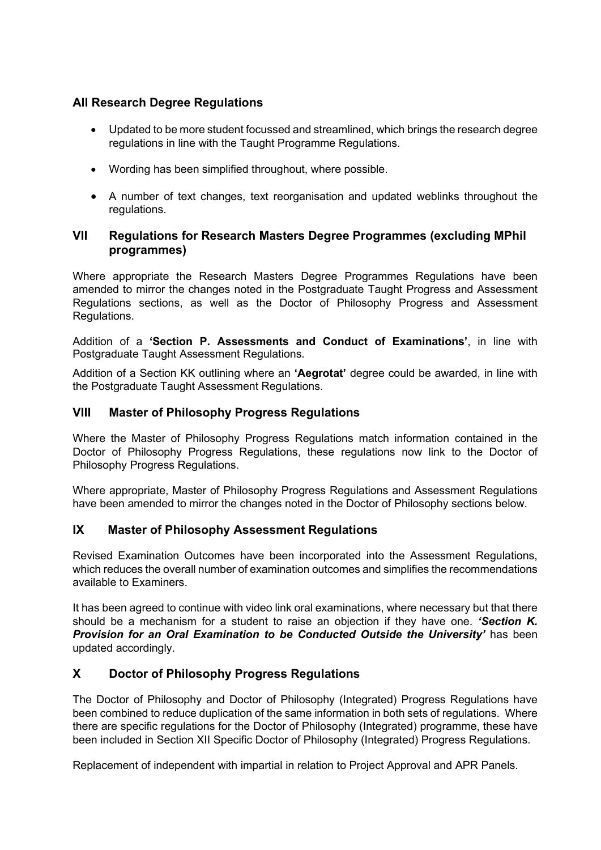# **All Research Degree Regulations**

- Updated to be more student focussed and streamlined, which brings the research degree regulations in line with the Taught Programme Regulations.
- Wording has been simplified throughout, where possible.
- A number of text changes, text reorganisation and updated weblinks throughout the regulations.

### **VII Regulations for Research Masters Degree Programmes (excluding MPhil programmes)**

Where appropriate the Research Masters Degree Programmes Regulations have been amended to mirror the changes noted in the Postgraduate Taught Progress and Assessment Regulations sections, as well as the Doctor of Philosophy Progress and Assessment Regulations.

Addition of a **'Section P. Assessments and Conduct of Examinations'**, in line with Postgraduate Taught Assessment Regulations.

Addition of a Section KK outlining where an **'Aegrotat'** degree could be awarded, in line with the Postgraduate Taught Assessment Regulations.

### **VIII Master of Philosophy Progress Regulations**

Where the Master of Philosophy Progress Regulations match information contained in the Doctor of Philosophy Progress Regulations, these regulations now link to the Doctor of Philosophy Progress Regulations.

Where appropriate, Master of Philosophy Progress Regulations and Assessment Regulations have been amended to mirror the changes noted in the Doctor of Philosophy sections below.

### **IX Master of Philosophy Assessment Regulations**

Revised Examination Outcomes have been incorporated into the Assessment Regulations, which reduces the overall number of examination outcomes and simplifies the recommendations available to Examiners.

It has been agreed to continue with video link oral examinations, where necessary but that there should be a mechanism for a student to raise an objection if they have one. *'Section K. Provision for an Oral Examination to be Conducted Outside the University'* has been updated accordingly.

### **X Doctor of Philosophy Progress Regulations**

The Doctor of Philosophy and Doctor of Philosophy (Integrated) Progress Regulations have been combined to reduce duplication of the same information in both sets of regulations. Where there are specific regulations for the Doctor of Philosophy (Integrated) programme, these have been included in Section XII Specific Doctor of Philosophy (Integrated) Progress Regulations.

Replacement of independent with impartial in relation to Project Approval and APR Panels.